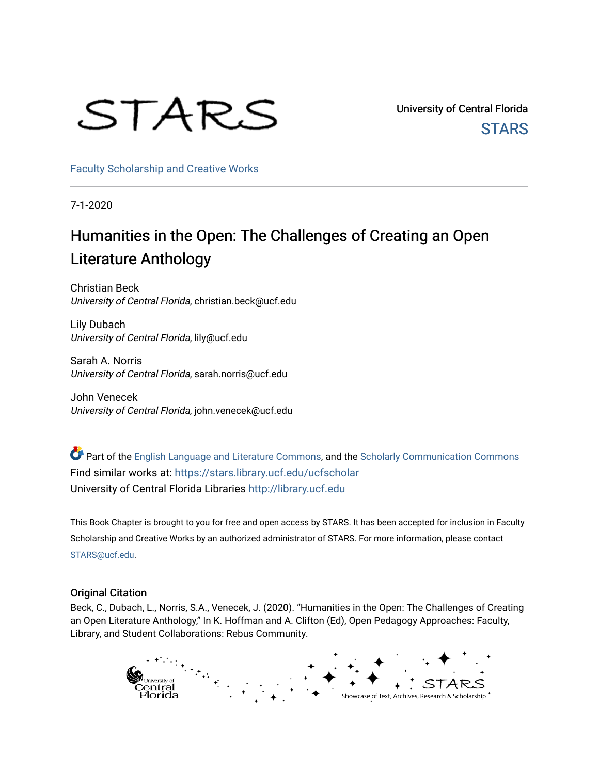# STARS

University of Central Florida **STARS** 

[Faculty Scholarship and Creative Works](https://stars.library.ucf.edu/ucfscholar) 

7-1-2020

## Humanities in the Open: The Challenges of Creating an Open Literature Anthology

Christian Beck University of Central Florida, christian.beck@ucf.edu

Lily Dubach University of Central Florida, lily@ucf.edu

Sarah A. Norris University of Central Florida, sarah.norris@ucf.edu

John Venecek University of Central Florida, john.venecek@ucf.edu

Part of the [English Language and Literature Commons](http://network.bepress.com/hgg/discipline/455?utm_source=stars.library.ucf.edu%2Fucfscholar%2F906&utm_medium=PDF&utm_campaign=PDFCoverPages), and the [Scholarly Communication Commons](http://network.bepress.com/hgg/discipline/1272?utm_source=stars.library.ucf.edu%2Fucfscholar%2F906&utm_medium=PDF&utm_campaign=PDFCoverPages) Find similar works at: <https://stars.library.ucf.edu/ucfscholar> University of Central Florida Libraries [http://library.ucf.edu](http://library.ucf.edu/) 

This Book Chapter is brought to you for free and open access by STARS. It has been accepted for inclusion in Faculty Scholarship and Creative Works by an authorized administrator of STARS. For more information, please contact [STARS@ucf.edu](mailto:STARS@ucf.edu).

#### Original Citation

Beck, C., Dubach, L., Norris, S.A., Venecek, J. (2020). "Humanities in the Open: The Challenges of Creating an Open Literature Anthology," In K. Hoffman and A. Clifton (Ed), Open Pedagogy Approaches: Faculty, Library, and Student Collaborations: Rebus Community.

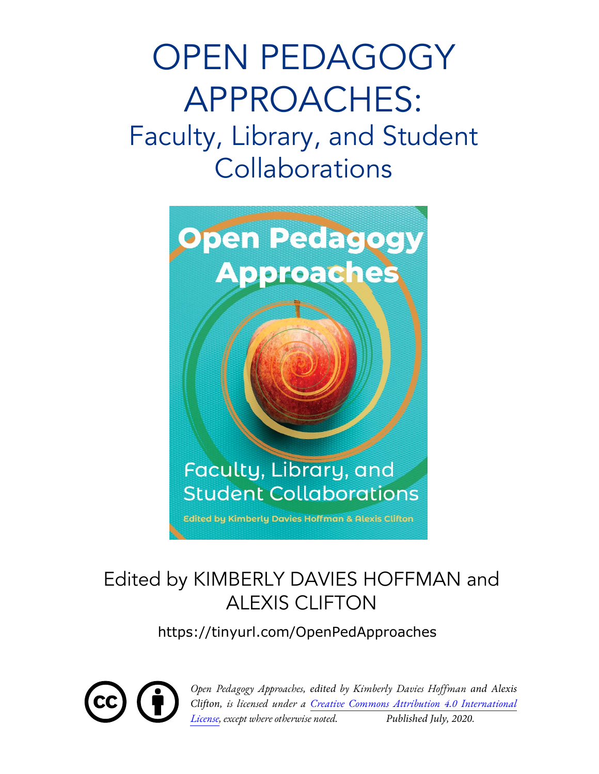# OPEN PEDAGOGY APPROACHES: Faculty, Library, and Student **Collaborations**



# Edited by KIMBERLY DAVIES HOFFMAN and ALEXIS CLIFTON

https://tinyurl.com/OpenPedApproaches



*Open Pedagogy Approaches, edited by Kimberly Davies Hoffman and Alexis Clifton, is licensed under a Creative Commons Attribution 4.0 International License, except where otherwise noted. Published July, 2020.*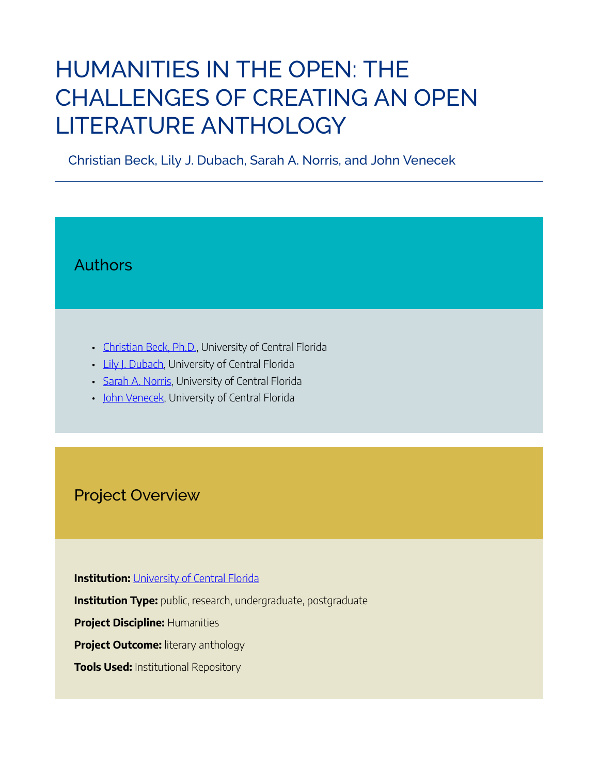# HUMANITIES IN THE OPEN: THE CHALLENGES OF CREATING AN OPEN LITERATURE ANTHOLOGY

Christian Beck, Lily J. Dubach, Sarah A. Norris, and John Venecek

### Authors

- Christian Beck, Ph.D., University of Central Florida
- Lily J. Dubach, University of Central Florida
- Sarah A. Norris, University of Central Florida
- John Venecek, University of Central Florida

#### Project Overview

**Institution: University of Central Florida** 

**Institution Type:** public, research, undergraduate, postgraduate

**Project Discipline:** Humanities

**Project Outcome:** literary anthology

**Tools Used:** Institutional Repository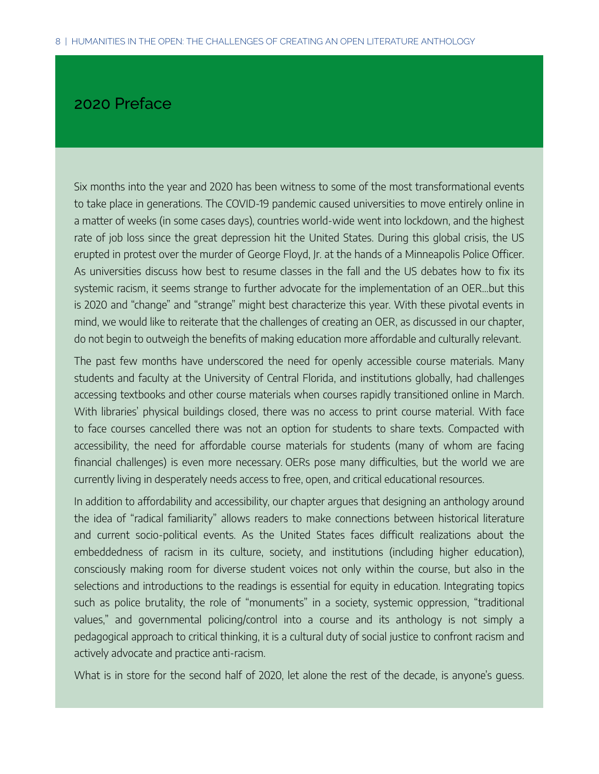#### 2020 Preface

Six months into the year and 2020 has been witness to some of the most transformational events to take place in generations. The COVID-19 pandemic caused universities to move entirely online in a matter of weeks (in some cases days), countries world-wide went into lockdown, and the highest rate of job loss since the great depression hit the United States. During this global crisis, the US erupted in protest over the murder of George Floyd, Jr. at the hands of a Minneapolis Police Officer. As universities discuss how best to resume classes in the fall and the US debates how to fix its systemic racism, it seems strange to further advocate for the implementation of an OER…but this is 2020 and "change" and "strange" might best characterize this year. With these pivotal events in mind, we would like to reiterate that the challenges of creating an OER, as discussed in our chapter, do not begin to outweigh the benefits of making education more affordable and culturally relevant.

The past few months have underscored the need for openly accessible course materials. Many students and faculty at the University of Central Florida, and institutions globally, had challenges accessing textbooks and other course materials when courses rapidly transitioned online in March. With libraries' physical buildings closed, there was no access to print course material. With face to face courses cancelled there was not an option for students to share texts. Compacted with accessibility, the need for affordable course materials for students (many of whom are facing financial challenges) is even more necessary. OERs pose many difficulties, but the world we are currently living in desperately needs access to free, open, and critical educational resources.

In addition to affordability and accessibility, our chapter argues that designing an anthology around the idea of "radical familiarity" allows readers to make connections between historical literature and current socio-political events. As the United States faces difficult realizations about the embeddedness of racism in its culture, society, and institutions (including higher education), consciously making room for diverse student voices not only within the course, but also in the selections and introductions to the readings is essential for equity in education. Integrating topics such as police brutality, the role of "monuments" in a society, systemic oppression, "traditional values," and governmental policing/control into a course and its anthology is not simply a pedagogical approach to critical thinking, it is a cultural duty of social justice to confront racism and actively advocate and practice anti-racism.

What is in store for the second half of 2020, let alone the rest of the decade, is anyone's guess.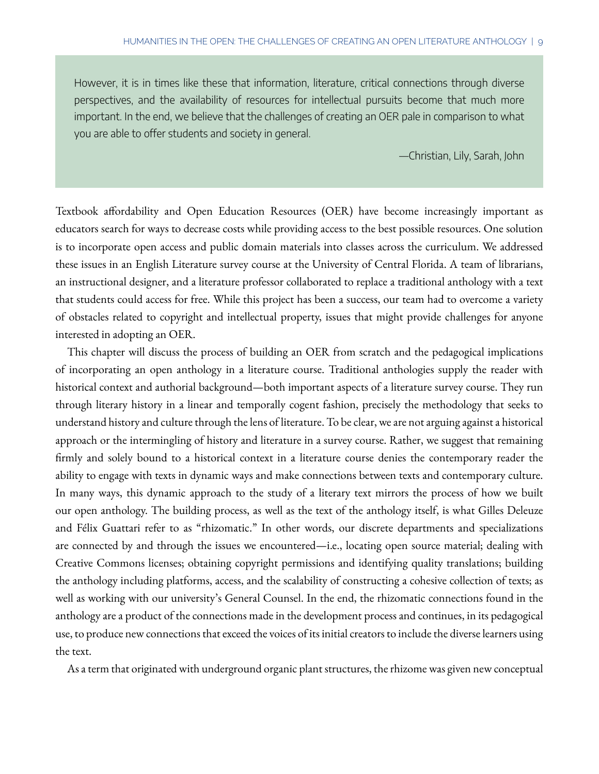However, it is in times like these that information, literature, critical connections through diverse perspectives, and the availability of resources for intellectual pursuits become that much more important. In the end, we believe that the challenges of creating an OER pale in comparison to what you are able to offer students and society in general.

—Christian, Lily, Sarah, John

Textbook affordability and Open Education Resources (OER) have become increasingly important as educators search for ways to decrease costs while providing access to the best possible resources. One solution is to incorporate open access and public domain materials into classes across the curriculum. We addressed these issues in an English Literature survey course at the University of Central Florida. A team of librarians, an instructional designer, and a literature professor collaborated to replace a traditional anthology with a text that students could access for free. While this project has been a success, our team had to overcome a variety of obstacles related to copyright and intellectual property, issues that might provide challenges for anyone interested in adopting an OER.

This chapter will discuss the process of building an OER from scratch and the pedagogical implications of incorporating an open anthology in a literature course. Traditional anthologies supply the reader with historical context and authorial background—both important aspects of a literature survey course. They run through literary history in a linear and temporally cogent fashion, precisely the methodology that seeks to understand history and culture through the lens of literature. To be clear, we are not arguing against a historical approach or the intermingling of history and literature in a survey course. Rather, we suggest that remaining firmly and solely bound to a historical context in a literature course denies the contemporary reader the ability to engage with texts in dynamic ways and make connections between texts and contemporary culture. In many ways, this dynamic approach to the study of a literary text mirrors the process of how we built our open anthology. The building process, as well as the text of the anthology itself, is what Gilles Deleuze and Félix Guattari refer to as "rhizomatic." In other words, our discrete departments and specializations are connected by and through the issues we encountered—i.e., locating open source material; dealing with Creative Commons licenses; obtaining copyright permissions and identifying quality translations; building the anthology including platforms, access, and the scalability of constructing a cohesive collection of texts; as well as working with our university's General Counsel. In the end, the rhizomatic connections found in the anthology are a product of the connections made in the development process and continues, in its pedagogical use, to produce new connections that exceed the voices of its initial creators to include the diverse learners using the text.

As a term that originated with underground organic plant structures, the rhizome was given new conceptual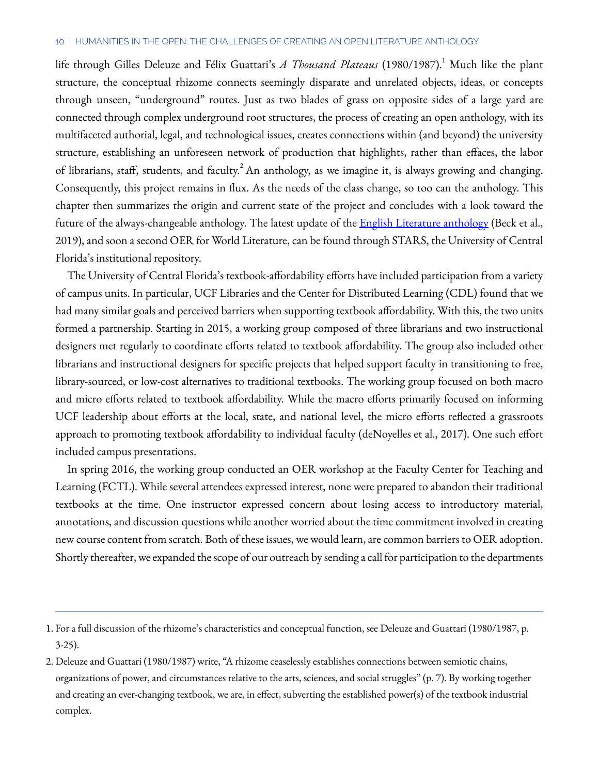#### 10 | HUMANITIES IN THE OPEN: THE CHALLENGES OF CREATING AN OPEN LITERATURE ANTHOLOGY

life through Gilles Deleuze and Félix Guattari's *A Thousand Plateaus* (1980/1987).<sup>1</sup> Much like the plant structure, the conceptual rhizome connects seemingly disparate and unrelated objects, ideas, or concepts through unseen, "underground" routes. Just as two blades of grass on opposite sides of a large yard are connected through complex underground root structures, the process of creating an open anthology, with its multifaceted authorial, legal, and technological issues, creates connections within (and beyond) the university structure, establishing an unforeseen network of production that highlights, rather than effaces, the labor of librarians, staff, students, and faculty. An anthology, as we imagine it, is always growing and changing. Consequently, this project remains in flux. As the needs of the class change, so too can the anthology. This chapter then summarizes the origin and current state of the project and concludes with a look toward the future of the always-changeable anthology. The latest update of the **[English Literature anthology](https://stars.library.ucf.edu/oer/3/)** (Beck et al., 2019), and soon a second OER for World Literature, can be found through STARS, the University of Central Florida's institutional repository.

The University of Central Florida's textbook-affordability efforts have included participation from a variety of campus units. In particular, UCF Libraries and the Center for Distributed Learning (CDL) found that we had many similar goals and perceived barriers when supporting textbook affordability. With this, the two units formed a partnership. Starting in 2015, a working group composed of three librarians and two instructional designers met regularly to coordinate efforts related to textbook affordability. The group also included other librarians and instructional designers for specific projects that helped support faculty in transitioning to free, library-sourced, or low-cost alternatives to traditional textbooks. The working group focused on both macro and micro efforts related to textbook affordability. While the macro efforts primarily focused on informing UCF leadership about efforts at the local, state, and national level, the micro efforts reflected a grassroots approach to promoting textbook affordability to individual faculty (deNoyelles et al., 2017). One such effort included campus presentations.

In spring 2016, the working group conducted an OER workshop at the Faculty Center for Teaching and Learning (FCTL). While several attendees expressed interest, none were prepared to abandon their traditional textbooks at the time. One instructor expressed concern about losing access to introductory material, annotations, and discussion questions while another worried about the time commitment involved in creating new course content from scratch. Both of these issues, we would learn, are common barriers to OER adoption. Shortly thereafter, we expanded the scope of our outreach by sending a call for participation to the departments

<sup>1.</sup> For a full discussion of the rhizome's characteristics and conceptual function, see Deleuze and Guattari (1980/1987, p. 3-25).

<sup>2.</sup> Deleuze and Guattari (1980/1987) write, "A rhizome ceaselessly establishes connections between semiotic chains, organizations of power, and circumstances relative to the arts, sciences, and social struggles" (p. 7). By working together and creating an ever-changing textbook, we are, in effect, subverting the established power(s) of the textbook industrial complex.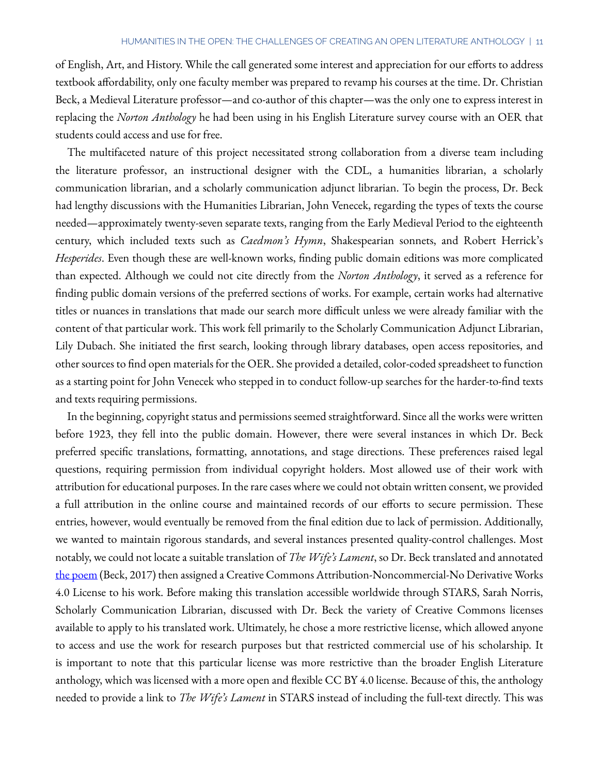of English, Art, and History. While the call generated some interest and appreciation for our efforts to address textbook affordability, only one faculty member was prepared to revamp his courses at the time. Dr. Christian Beck, a Medieval Literature professor—and co-author of this chapter—was the only one to express interest in replacing the *Norton Anthology* he had been using in his English Literature survey course with an OER that students could access and use for free.

The multifaceted nature of this project necessitated strong collaboration from a diverse team including the literature professor, an instructional designer with the CDL, a humanities librarian, a scholarly communication librarian, and a scholarly communication adjunct librarian. To begin the process, Dr. Beck had lengthy discussions with the Humanities Librarian, John Venecek, regarding the types of texts the course needed—approximately twenty-seven separate texts, ranging from the Early Medieval Period to the eighteenth century, which included texts such as *Caedmon's Hymn*, Shakespearian sonnets, and Robert Herrick's *Hesperides*. Even though these are well-known works, finding public domain editions was more complicated than expected. Although we could not cite directly from the *Norton Anthology*, it served as a reference for finding public domain versions of the preferred sections of works. For example, certain works had alternative titles or nuances in translations that made our search more difficult unless we were already familiar with the content of that particular work. This work fell primarily to the Scholarly Communication Adjunct Librarian, Lily Dubach. She initiated the first search, looking through library databases, open access repositories, and other sources to find open materials for the OER. She provided a detailed, color-coded spreadsheet to function as a starting point for John Venecek who stepped in to conduct follow-up searches for the harder-to-find texts and texts requiring permissions.

In the beginning, copyright status and permissions seemed straightforward. Since all the works were written before 1923, they fell into the public domain. However, there were several instances in which Dr. Beck preferred specific translations, formatting, annotations, and stage directions. These preferences raised legal questions, requiring permission from individual copyright holders. Most allowed use of their work with attribution for educational purposes. In the rare cases where we could not obtain written consent, we provided a full attribution in the online course and maintained records of our efforts to secure permission. These entries, however, would eventually be removed from the final edition due to lack of permission. Additionally, we wanted to maintain rigorous standards, and several instances presented quality-control challenges. Most notably, we could not locate a suitable translation of *The Wife's Lament*, so Dr. Beck translated and annotated [the poem](https://stars.library.ucf.edu/ucfscholar/122/) (Beck, 2017) then assigned a Creative Commons Attribution-Noncommercial-No Derivative Works 4.0 License to his work. Before making this translation accessible worldwide through STARS, Sarah Norris, Scholarly Communication Librarian, discussed with Dr. Beck the variety of Creative Commons licenses available to apply to his translated work. Ultimately, he chose a more restrictive license, which allowed anyone to access and use the work for research purposes but that restricted commercial use of his scholarship. It is important to note that this particular license was more restrictive than the broader English Literature anthology, which was licensed with a more open and flexible CC BY 4.0 license. Because of this, the anthology needed to provide a link to *The Wife's Lament* in STARS instead of including the full-text directly. This was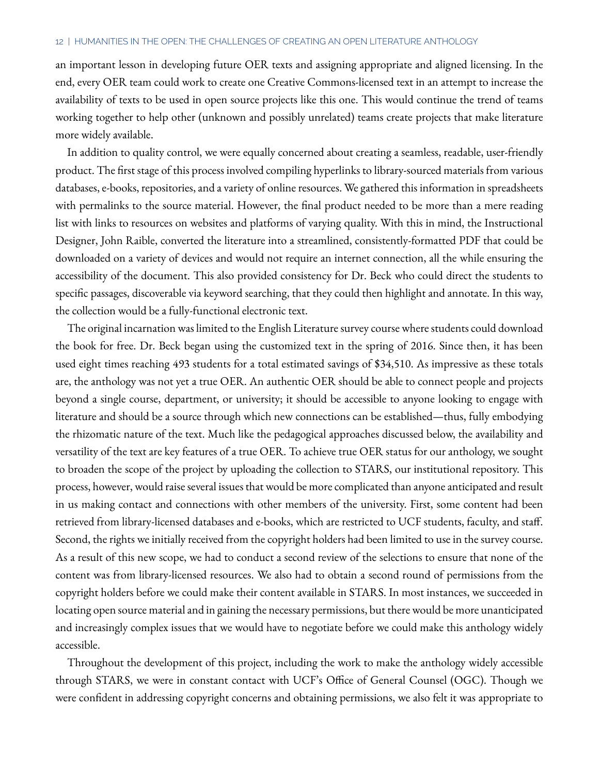an important lesson in developing future OER texts and assigning appropriate and aligned licensing. In the end, every OER team could work to create one Creative Commons-licensed text in an attempt to increase the availability of texts to be used in open source projects like this one. This would continue the trend of teams working together to help other (unknown and possibly unrelated) teams create projects that make literature more widely available.

In addition to quality control, we were equally concerned about creating a seamless, readable, user-friendly product. The first stage of this process involved compiling hyperlinks to library-sourced materials from various databases, e-books, repositories, and a variety of online resources. We gathered this information in spreadsheets with permalinks to the source material. However, the final product needed to be more than a mere reading list with links to resources on websites and platforms of varying quality. With this in mind, the Instructional Designer, John Raible, converted the literature into a streamlined, consistently-formatted PDF that could be downloaded on a variety of devices and would not require an internet connection, all the while ensuring the accessibility of the document. This also provided consistency for Dr. Beck who could direct the students to specific passages, discoverable via keyword searching, that they could then highlight and annotate. In this way, the collection would be a fully-functional electronic text.

The original incarnation was limited to the English Literature survey course where students could download the book for free. Dr. Beck began using the customized text in the spring of 2016. Since then, it has been used eight times reaching 493 students for a total estimated savings of \$34,510. As impressive as these totals are, the anthology was not yet a true OER. An authentic OER should be able to connect people and projects beyond a single course, department, or university; it should be accessible to anyone looking to engage with literature and should be a source through which new connections can be established—thus, fully embodying the rhizomatic nature of the text. Much like the pedagogical approaches discussed below, the availability and versatility of the text are key features of a true OER. To achieve true OER status for our anthology, we sought to broaden the scope of the project by uploading the collection to STARS, our institutional repository. This process, however, would raise several issues that would be more complicated than anyone anticipated and result in us making contact and connections with other members of the university. First, some content had been retrieved from library-licensed databases and e-books, which are restricted to UCF students, faculty, and staff. Second, the rights we initially received from the copyright holders had been limited to use in the survey course. As a result of this new scope, we had to conduct a second review of the selections to ensure that none of the content was from library-licensed resources. We also had to obtain a second round of permissions from the copyright holders before we could make their content available in STARS. In most instances, we succeeded in locating open source material and in gaining the necessary permissions, but there would be more unanticipated and increasingly complex issues that we would have to negotiate before we could make this anthology widely accessible.

Throughout the development of this project, including the work to make the anthology widely accessible through STARS, we were in constant contact with UCF's Office of General Counsel (OGC). Though we were confident in addressing copyright concerns and obtaining permissions, we also felt it was appropriate to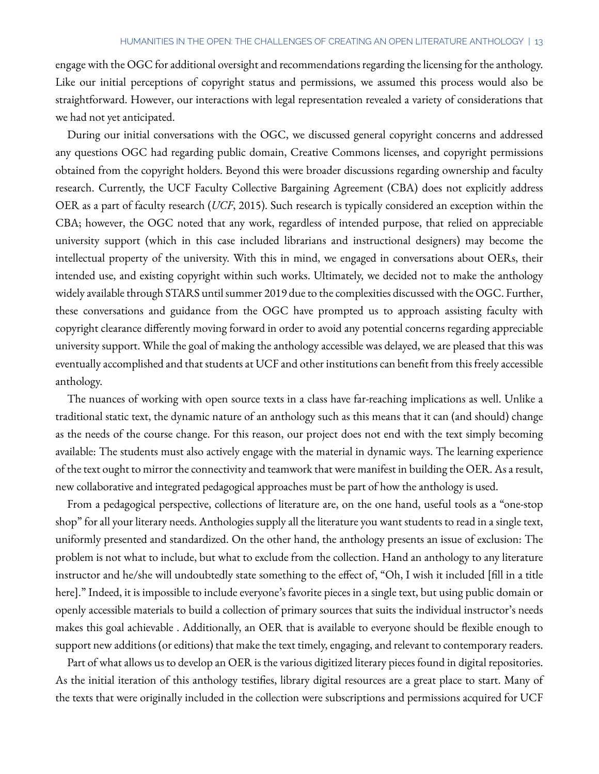engage with the OGC for additional oversight and recommendations regarding the licensing for the anthology. Like our initial perceptions of copyright status and permissions, we assumed this process would also be straightforward. However, our interactions with legal representation revealed a variety of considerations that we had not yet anticipated.

During our initial conversations with the OGC, we discussed general copyright concerns and addressed any questions OGC had regarding public domain, Creative Commons licenses, and copyright permissions obtained from the copyright holders. Beyond this were broader discussions regarding ownership and faculty research. Currently, the UCF Faculty Collective Bargaining Agreement (CBA) does not explicitly address OER as a part of faculty research (*UCF*, 2015). Such research is typically considered an exception within the CBA; however, the OGC noted that any work, regardless of intended purpose, that relied on appreciable university support (which in this case included librarians and instructional designers) may become the intellectual property of the university. With this in mind, we engaged in conversations about OERs, their intended use, and existing copyright within such works. Ultimately, we decided not to make the anthology widely available through STARS until summer 2019 due to the complexities discussed with the OGC. Further, these conversations and guidance from the OGC have prompted us to approach assisting faculty with copyright clearance differently moving forward in order to avoid any potential concerns regarding appreciable university support. While the goal of making the anthology accessible was delayed, we are pleased that this was eventually accomplished and that students at UCF and other institutions can benefit from this freely accessible anthology.

The nuances of working with open source texts in a class have far-reaching implications as well. Unlike a traditional static text, the dynamic nature of an anthology such as this means that it can (and should) change as the needs of the course change. For this reason, our project does not end with the text simply becoming available: The students must also actively engage with the material in dynamic ways. The learning experience of the text ought to mirror the connectivity and teamwork that were manifest in building the OER. As a result, new collaborative and integrated pedagogical approaches must be part of how the anthology is used.

From a pedagogical perspective, collections of literature are, on the one hand, useful tools as a "one-stop shop" for all your literary needs. Anthologies supply all the literature you want students to read in a single text, uniformly presented and standardized. On the other hand, the anthology presents an issue of exclusion: The problem is not what to include, but what to exclude from the collection. Hand an anthology to any literature instructor and he/she will undoubtedly state something to the effect of, "Oh, I wish it included [fill in a title here]." Indeed, it is impossible to include everyone's favorite pieces in a single text, but using public domain or openly accessible materials to build a collection of primary sources that suits the individual instructor's needs makes this goal achievable . Additionally, an OER that is available to everyone should be flexible enough to support new additions (or editions) that make the text timely, engaging, and relevant to contemporary readers.

Part of what allows us to develop an OER is the various digitized literary pieces found in digital repositories. As the initial iteration of this anthology testifies, library digital resources are a great place to start. Many of the texts that were originally included in the collection were subscriptions and permissions acquired for UCF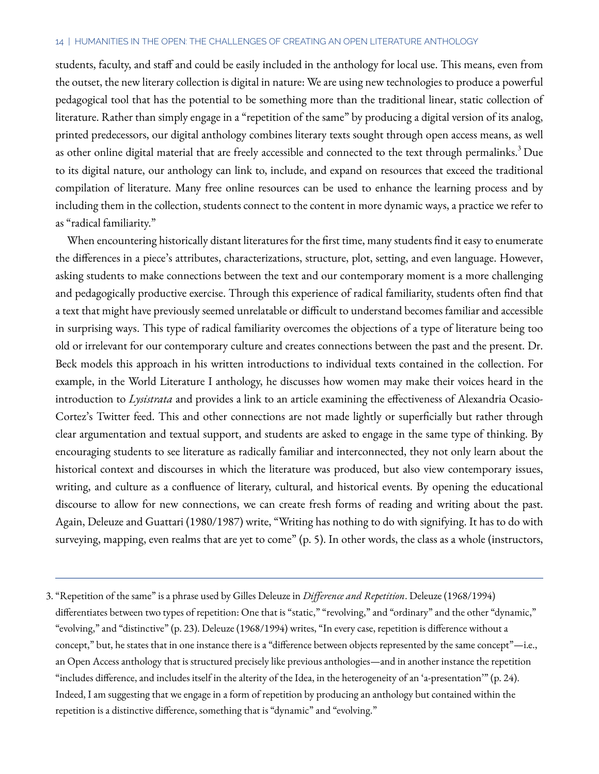#### 14 | HUMANITIES IN THE OPEN: THE CHALLENGES OF CREATING AN OPEN LITERATURE ANTHOLOGY

students, faculty, and staff and could be easily included in the anthology for local use. This means, even from the outset, the new literary collection is digital in nature: We are using new technologies to produce a powerful pedagogical tool that has the potential to be something more than the traditional linear, static collection of literature. Rather than simply engage in a "repetition of the same" by producing a digital version of its analog, printed predecessors, our digital anthology combines literary texts sought through open access means, as well as other online digital material that are freely accessible and connected to the text through permalinks.<sup>3</sup> Due to its digital nature, our anthology can link to, include, and expand on resources that exceed the traditional compilation of literature. Many free online resources can be used to enhance the learning process and by including them in the collection, students connect to the content in more dynamic ways, a practice we refer to as "radical familiarity."

When encountering historically distant literatures for the first time, many students find it easy to enumerate the differences in a piece's attributes, characterizations, structure, plot, setting, and even language. However, asking students to make connections between the text and our contemporary moment is a more challenging and pedagogically productive exercise. Through this experience of radical familiarity, students often find that a text that might have previously seemed unrelatable or difficult to understand becomes familiar and accessible in surprising ways. This type of radical familiarity overcomes the objections of a type of literature being too old or irrelevant for our contemporary culture and creates connections between the past and the present. Dr. Beck models this approach in his written introductions to individual texts contained in the collection. For example, in the World Literature I anthology, he discusses how women may make their voices heard in the introduction to *Lysistrata* and provides a link to an article examining the effectiveness of Alexandria Ocasio-Cortez's Twitter feed. This and other connections are not made lightly or superficially but rather through clear argumentation and textual support, and students are asked to engage in the same type of thinking. By encouraging students to see literature as radically familiar and interconnected, they not only learn about the historical context and discourses in which the literature was produced, but also view contemporary issues, writing, and culture as a confluence of literary, cultural, and historical events. By opening the educational discourse to allow for new connections, we can create fresh forms of reading and writing about the past. Again, Deleuze and Guattari (1980/1987) write, "Writing has nothing to do with signifying. It has to do with surveying, mapping, even realms that are yet to come" (p. 5). In other words, the class as a whole (instructors,

<sup>3.</sup> "Repetition of the same" is a phrase used by Gilles Deleuze in *Difference and Repetition*. Deleuze (1968/1994) differentiates between two types of repetition: One that is "static," "revolving," and "ordinary" and the other "dynamic," "evolving," and "distinctive" (p. 23). Deleuze (1968/1994) writes, "In every case, repetition is difference without a concept," but, he states that in one instance there is a "difference between objects represented by the same concept"—i.e., an Open Access anthology that is structured precisely like previous anthologies—and in another instance the repetition "includes difference, and includes itself in the alterity of the Idea, in the heterogeneity of an 'a-presentation'" (p. 24). Indeed, I am suggesting that we engage in a form of repetition by producing an anthology but contained within the repetition is a distinctive difference, something that is "dynamic" and "evolving."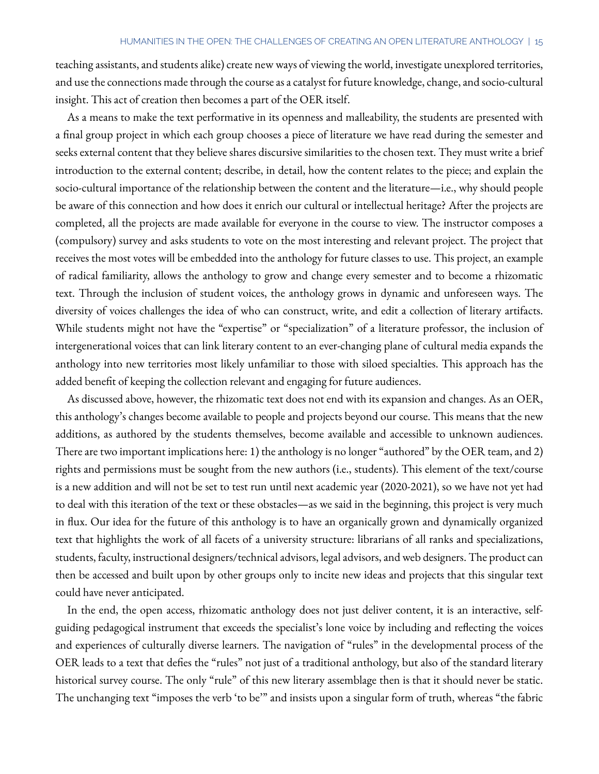teaching assistants, and students alike) create new ways of viewing the world, investigate unexplored territories, and use the connections made through the course as a catalyst for future knowledge, change, and socio-cultural insight. This act of creation then becomes a part of the OER itself.

As a means to make the text performative in its openness and malleability, the students are presented with a final group project in which each group chooses a piece of literature we have read during the semester and seeks external content that they believe shares discursive similarities to the chosen text. They must write a brief introduction to the external content; describe, in detail, how the content relates to the piece; and explain the socio-cultural importance of the relationship between the content and the literature—i.e., why should people be aware of this connection and how does it enrich our cultural or intellectual heritage? After the projects are completed, all the projects are made available for everyone in the course to view. The instructor composes a (compulsory) survey and asks students to vote on the most interesting and relevant project. The project that receives the most votes will be embedded into the anthology for future classes to use. This project, an example of radical familiarity, allows the anthology to grow and change every semester and to become a rhizomatic text. Through the inclusion of student voices, the anthology grows in dynamic and unforeseen ways. The diversity of voices challenges the idea of who can construct, write, and edit a collection of literary artifacts. While students might not have the "expertise" or "specialization" of a literature professor, the inclusion of intergenerational voices that can link literary content to an ever-changing plane of cultural media expands the anthology into new territories most likely unfamiliar to those with siloed specialties. This approach has the added benefit of keeping the collection relevant and engaging for future audiences.

As discussed above, however, the rhizomatic text does not end with its expansion and changes. As an OER, this anthology's changes become available to people and projects beyond our course. This means that the new additions, as authored by the students themselves, become available and accessible to unknown audiences. There are two important implications here: 1) the anthology is no longer "authored" by the OER team, and 2) rights and permissions must be sought from the new authors (i.e., students). This element of the text/course is a new addition and will not be set to test run until next academic year (2020-2021), so we have not yet had to deal with this iteration of the text or these obstacles—as we said in the beginning, this project is very much in flux. Our idea for the future of this anthology is to have an organically grown and dynamically organized text that highlights the work of all facets of a university structure: librarians of all ranks and specializations, students, faculty, instructional designers/technical advisors, legal advisors, and web designers. The product can then be accessed and built upon by other groups only to incite new ideas and projects that this singular text could have never anticipated.

In the end, the open access, rhizomatic anthology does not just deliver content, it is an interactive, selfguiding pedagogical instrument that exceeds the specialist's lone voice by including and reflecting the voices and experiences of culturally diverse learners. The navigation of "rules" in the developmental process of the OER leads to a text that defies the "rules" not just of a traditional anthology, but also of the standard literary historical survey course. The only "rule" of this new literary assemblage then is that it should never be static. The unchanging text "imposes the verb 'to be'" and insists upon a singular form of truth, whereas "the fabric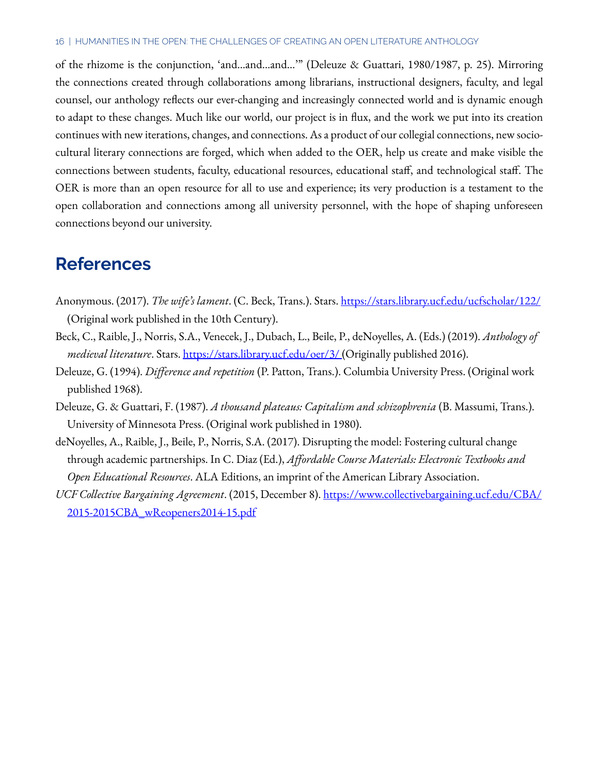#### 16 | HUMANITIES IN THE OPEN: THE CHALLENGES OF CREATING AN OPEN LITERATURE ANTHOLOGY

of the rhizome is the conjunction, 'and…and…and…'" (Deleuze & Guattari, 1980/1987, p. 25). Mirroring the connections created through collaborations among librarians, instructional designers, faculty, and legal counsel, our anthology reflects our ever-changing and increasingly connected world and is dynamic enough to adapt to these changes. Much like our world, our project is in flux, and the work we put into its creation continues with new iterations, changes, and connections. As a product of our collegial connections, new sociocultural literary connections are forged, which when added to the OER, help us create and make visible the connections between students, faculty, educational resources, educational staff, and technological staff. The OER is more than an open resource for all to use and experience; its very production is a testament to the open collaboration and connections among all university personnel, with the hope of shaping unforeseen connections beyond our university.

### **References**

- Anonymous. (2017). *The wife's lament*. (C. Beck, Trans.). Stars. <https://stars.library.ucf.edu/ucfscholar/122/> (Original work published in the 10th Century).
- Beck, C., Raible, J., Norris, S.A., Venecek, J., Dubach, L., Beile, P., deNoyelles, A. (Eds.) (2019). *Anthology of*  medieval literature. Stars. [https://stars.library.ucf.edu/oer/3/ \(](https://stars.library.ucf.edu/oer/3/)Originally published 2016).
- Deleuze, G. (1994). *Difference and repetition* (P. Patton, Trans.). Columbia University Press. (Original work published 1968).
- Deleuze, G. & Guattari, F. (1987). *A thousand plateaus: Capitalism and schizophrenia* (B. Massumi, Trans.). University of Minnesota Press. (Original work published in 1980).
- deNoyelles, A., Raible, J., Beile, P., Norris, S.A. (2017). Disrupting the model: Fostering cultural change through academic partnerships. In C. Diaz (Ed.), *Affordable Course Materials: Electronic Textbooks and Open Educational Resources*. ALA Editions, an imprint of the American Library Association.
- *UCF Collective Bargaining Agreement*. (2015, December 8). [https://www.collectivebargaining.ucf.edu/CBA/](https://www.collectivebargaining.ucf.edu/CBA/2015-2015CBA_wReopeners2014-15.pdf) [2015-2015CBA\\_wReopeners2014-15.pdf](https://www.collectivebargaining.ucf.edu/CBA/2015-2015CBA_wReopeners2014-15.pdf)